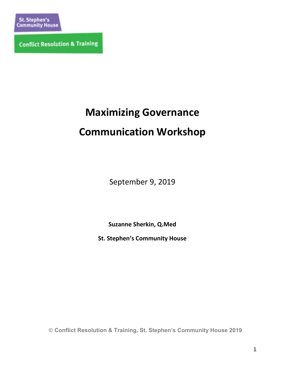**Conflict Resolution & Training** 

# **Maximizing Governance**

# **Communication Workshop**

September 9, 2019

**Suzanne Sherkin, Q.Med**

**St. Stephen's Community House**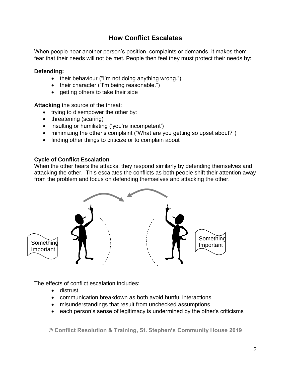### **How Conflict Escalates**

When people hear another person's position, complaints or demands, it makes them fear that their needs will not be met. People then feel they must protect their needs by:

#### **Defending:**

- their behaviour ("I'm not doing anything wrong.")
- their character ("I'm being reasonable.")
- getting others to take their side

**Attacking** the source of the threat:

- trying to disempower the other by:
- threatening (scaring)
- insulting or humiliating ('you're incompetent')
- minimizing the other's complaint ("What are you getting so upset about?")
- finding other things to criticize or to complain about

### **Cycle of Conflict Escalation**

When the other hears the attacks, they respond similarly by defending themselves and attacking the other. This escalates the conflicts as both people shift their attention away from the problem and focus on defending themselves and attacking the other.



The effects of conflict escalation includes:

- **•** distrust
- communication breakdown as both avoid hurtful interactions
- misunderstandings that result from unchecked assumptions
- each person's sense of legitimacy is undermined by the other's criticisms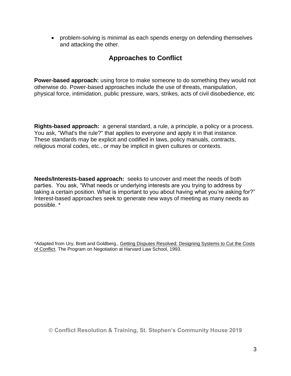• problem-solving is minimal as each spends energy on defending themselves and attacking the other.

### **Approaches to Conflict**

**Power-based approach:** using force to make someone to do something they would not otherwise do. Power-based approaches include the use of threats, manipulation, physical force, intimidation, public pressure, wars, strikes, acts of civil disobedience, etc

**Rights-based approach:** a general standard, a rule, a principle, a policy or a process. You ask, "What's the rule?" that applies to everyone and apply it in that instance. These standards may be explicit and codified in laws, policy manuals, contracts, religious moral codes, etc., or may be implicit in given cultures or contexts.

**Needs/Interests-based approach:** seeks to uncover and meet the needs of both parties. You ask, "What needs or underlying interests are you trying to address by taking a certain position. What is important to you about having what you're asking for?" Interest-based approaches seek to generate new ways of meeting as many needs as possible. \*

\*Adapted from Ury, Brett and Goldberg., Getting Disputes Resolved: Designing Systems to Cut the Costs of Conflict. The Program on Negotiation at Harvard Law School, 1993.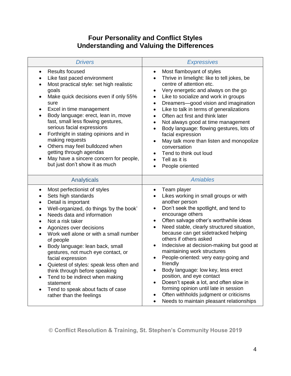## **Four Personality and Conflict Styles Understanding and Valuing the Differences**

| <b>Drivers</b>                                                                                                                                                                                                                                                                                                                                                                                                                                                                                                                                                                                                                                                                                                    | <b>Expressives</b>                                                                                                                                                                                                                                                                                                                                                                                                                                                                                                                                                                                                                                                                                                                                                                                         |
|-------------------------------------------------------------------------------------------------------------------------------------------------------------------------------------------------------------------------------------------------------------------------------------------------------------------------------------------------------------------------------------------------------------------------------------------------------------------------------------------------------------------------------------------------------------------------------------------------------------------------------------------------------------------------------------------------------------------|------------------------------------------------------------------------------------------------------------------------------------------------------------------------------------------------------------------------------------------------------------------------------------------------------------------------------------------------------------------------------------------------------------------------------------------------------------------------------------------------------------------------------------------------------------------------------------------------------------------------------------------------------------------------------------------------------------------------------------------------------------------------------------------------------------|
| <b>Results focused</b><br>$\bullet$<br>Like fast paced environment<br>$\bullet$<br>Most practical style: set high realistic<br>$\bullet$<br>goals<br>Make quick decisions even if only 55%<br>sure<br>Excel in time management<br>$\bullet$<br>Body language: erect, lean in, move<br>$\bullet$<br>fast, small less flowing gestures,<br>serious facial expressions<br>Forthright in stating opinions and in<br>$\bullet$<br>making requests<br>Others may feel bulldozed when<br>$\bullet$<br>getting through agendas<br>May have a sincere concern for people,<br>$\bullet$<br>but just don't show it as much                                                                                                   | Most flamboyant of styles<br>$\bullet$<br>Thrive in limelight: like to tell jokes, be<br>$\bullet$<br>centre of attention etc.<br>Very energetic and always on the go<br>$\bullet$<br>Like to socialize and work in groups<br>$\bullet$<br>Dreamers-good vision and imagination<br>$\bullet$<br>Like to talk in terms of generalizations<br>$\bullet$<br>Often act first and think later<br>$\bullet$<br>Not always good at time management<br>$\bullet$<br>Body language: flowing gestures, lots of<br>$\bullet$<br>facial expression<br>May talk more than listen and monopolize<br>$\bullet$<br>conversation<br>Tend to think out loud<br>$\bullet$<br>Tell as it is<br>People oriented                                                                                                                 |
| Analyticals                                                                                                                                                                                                                                                                                                                                                                                                                                                                                                                                                                                                                                                                                                       | <b>Amiables</b>                                                                                                                                                                                                                                                                                                                                                                                                                                                                                                                                                                                                                                                                                                                                                                                            |
| Most perfectionist of styles<br>$\bullet$<br>Sets high standards<br>$\bullet$<br>Detail is important<br>$\bullet$<br>Well-organized, do things 'by the book'<br>$\bullet$<br>Needs data and information<br>$\bullet$<br>Not a risk taker<br>$\bullet$<br>Agonizes over decisions<br>$\bullet$<br>Work well alone or with a small number<br>$\bullet$<br>of people<br>Body language: lean back, small<br>$\bullet$<br>gestures, not much eye contact, or<br>facial expression<br>Quietest of styles: speak less often and<br>$\bullet$<br>think through before speaking<br>Tend to be indirect when making<br>$\bullet$<br>statement<br>Tend to speak about facts of case<br>$\bullet$<br>rather than the feelings | Team player<br>$\bullet$<br>Likes working in small groups or with<br>$\bullet$<br>another person<br>Don't seek the spotlight, and tend to<br>$\bullet$<br>encourage others<br>Often salvage other's worthwhile ideas<br>$\bullet$<br>Need stable, clearly structured situation,<br>$\bullet$<br>because can get sidetracked helping<br>others if others asked<br>Indecisive at decision-making but good at<br>$\bullet$<br>maintaining work structures<br>People-oriented: very easy-going and<br>$\bullet$<br>friendly<br>Body language: low key, less erect<br>$\bullet$<br>position, and eye contact<br>Doesn't speak a lot, and often slow in<br>$\bullet$<br>forming opinion until late in session<br>Often withholds judgment or criticisms<br>Needs to maintain pleasant relationships<br>$\bullet$ |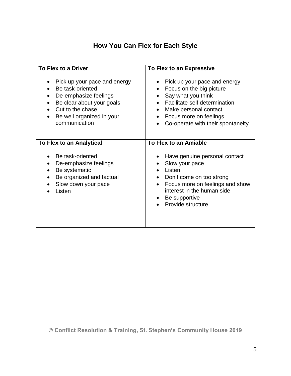# **How You Can Flex for Each Style**

| To Flex to a Driver                                                                                                                                                                                | To Flex to an Expressive                                                                                                                                                                                             |
|----------------------------------------------------------------------------------------------------------------------------------------------------------------------------------------------------|----------------------------------------------------------------------------------------------------------------------------------------------------------------------------------------------------------------------|
| Pick up your pace and energy<br>$\bullet$<br>Be task-oriented<br>De-emphasize feelings<br>$\bullet$<br>Be clear about your goals<br>Cut to the chase<br>Be well organized in your<br>communication | Pick up your pace and energy<br>$\bullet$<br>Focus on the big picture<br>Say what you think<br>Facilitate self determination<br>Make personal contact<br>Focus more on feelings<br>Co-operate with their spontaneity |
| To Flex to an Analytical                                                                                                                                                                           | To Flex to an Amiable                                                                                                                                                                                                |
| Be task-oriented<br>٠<br>De-emphasize feelings<br>Be systematic<br>Be organized and factual<br>Slow down your pace<br>Listen                                                                       | Have genuine personal contact<br>Slow your pace<br>Listen<br>Don't come on too strong<br>Focus more on feelings and show<br>$\bullet$<br>interest in the human side<br>Be supportive<br>Provide structure            |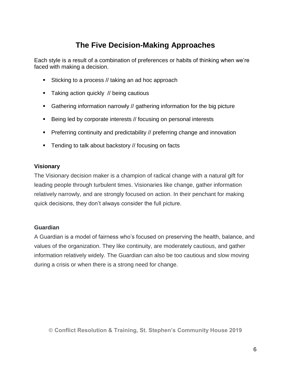# **The Five Decision-Making Approaches**

Each style is a result of a combination of preferences or habits of thinking when we're faced with making a decision.

- Sticking to a process // taking an ad hoc approach
- **Taking action quickly // being cautious**
- Gathering information narrowly // gathering information for the big picture
- Being led by corporate interests // focusing on personal interests
- **Preferring continuity and predictability // preferring change and innovation**
- **Tending to talk about backstory // focusing on facts**

### **Visionary**

The Visionary decision maker is a champion of radical change with a natural gift for leading people through turbulent times. Visionaries like change, gather information relatively narrowly, and are strongly focused on action. In their penchant for making quick decisions, they don't always consider the full picture.

#### **Guardian**

A Guardian is a model of fairness who's focused on preserving the health, balance, and values of the organization. They like continuity, are moderately cautious, and gather information relatively widely. The Guardian can also be too cautious and slow moving during a crisis or when there is a strong need for change.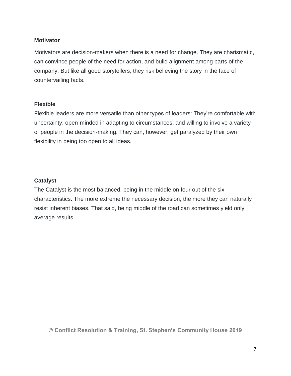### **Motivator**

Motivators are decision-makers when there is a need for change. They are charismatic, can convince people of the need for action, and build alignment among parts of the company. But like all good storytellers, they risk believing the story in the face of countervailing facts.

### **Flexible**

Flexible leaders are more versatile than other types of leaders: They're comfortable with uncertainty, open-minded in adapting to circumstances, and willing to involve a variety of people in the decision-making. They can, however, get paralyzed by their own flexibility in being too open to all ideas.

### **Catalyst**

The Catalyst is the most balanced, being in the middle on four out of the six characteristics. The more extreme the necessary decision, the more they can naturally resist inherent biases. That said, being middle of the road can sometimes yield only average results.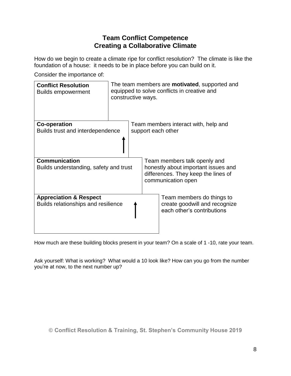### **Team Conflict Competence Creating a Collaborative Climate**

How do we begin to create a climate ripe for conflict resolution? The climate is like the foundation of a house: it needs to be in place before you can build on it.

Consider the importance of:

| <b>Conflict Resolution</b><br><b>Builds empowerment</b>                  | The team members are <b>motivated</b> , supported and<br>equipped to solve conflicts in creative and<br>constructive ways. |                    |                                                                                                  |
|--------------------------------------------------------------------------|----------------------------------------------------------------------------------------------------------------------------|--------------------|--------------------------------------------------------------------------------------------------|
| <b>Co-operation</b>                                                      |                                                                                                                            |                    | Team members interact with, help and                                                             |
| Builds trust and interdependence                                         |                                                                                                                            | support each other |                                                                                                  |
|                                                                          |                                                                                                                            |                    |                                                                                                  |
| <b>Communication</b>                                                     |                                                                                                                            |                    | Team members talk openly and                                                                     |
| Builds understanding, safety and trust                                   |                                                                                                                            |                    | honestly about important issues and<br>differences. They keep the lines of<br>communication open |
| <b>Appreciation &amp; Respect</b><br>Builds relationships and resilience |                                                                                                                            |                    | Team members do things to<br>create goodwill and recognize<br>each other's contributions         |

How much are these building blocks present in your team? On a scale of 1 -10, rate your team.

Ask yourself: What is working? What would a 10 look like? How can you go from the number you're at now, to the next number up?